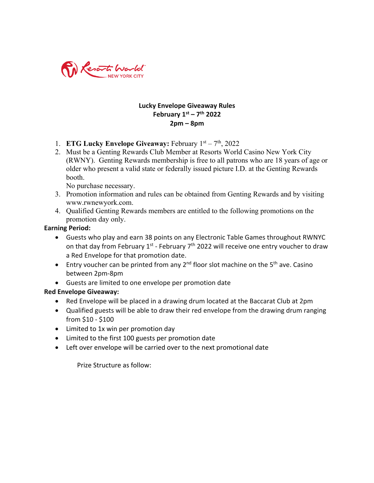

## **Lucky Envelope Giveaway Rules February 1st – 7th 2022 2pm – 8pm**

- 1. **ETG Lucky Envelope Giveaway:** February 1st 7th, 2022
- 2. Must be a Genting Rewards Club Member at Resorts World Casino New York City (RWNY). Genting Rewards membership is free to all patrons who are 18 years of age or older who present a valid state or federally issued picture I.D. at the Genting Rewards booth.

No purchase necessary.

- 3. Promotion information and rules can be obtained from Genting Rewards and by visiting www.rwnewyork.com.
- 4. Qualified Genting Rewards members are entitled to the following promotions on the promotion day only.

## **Earning Period:**

- Guests who play and earn 38 points on any Electronic Table Games throughout RWNYC on that day from February  $1^{st}$  - February  $7^{th}$  2022 will receive one entry voucher to draw a Red Envelope for that promotion date.
- Entry voucher can be printed from any  $2^{nd}$  floor slot machine on the  $5^{th}$  ave. Casino between 2pm-8pm
- Guests are limited to one envelope per promotion date

## **Red Envelope Giveaway:**

- Red Envelope will be placed in a drawing drum located at the Baccarat Club at 2pm
- Qualified guests will be able to draw their red envelope from the drawing drum ranging from \$10 - \$100
- Limited to 1x win per promotion day
- Limited to the first 100 guests per promotion date
- Left over envelope will be carried over to the next promotional date

Prize Structure as follow: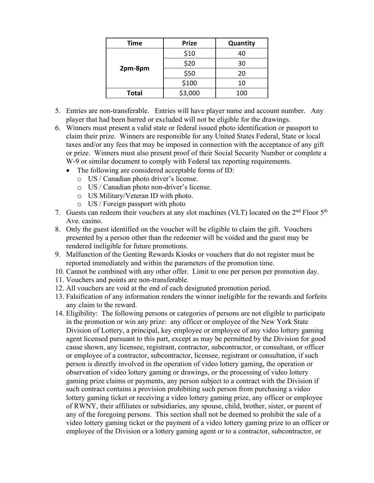| <b>Time</b>  | <b>Prize</b> | Quantity |
|--------------|--------------|----------|
| 2pm-8pm      | \$10         | 40       |
|              | \$20         | 30       |
|              | \$50         | 20       |
|              | \$100        | 10       |
| <b>Total</b> | \$3,000      | 100      |

- 5. Entries are non-transferable. Entries will have player name and account number. Any player that had been barred or excluded will not be eligible for the drawings.
- 6. Winners must present a valid state or federal issued photo identification or passport to claim their prize. Winners are responsible for any United States Federal, State or local taxes and/or any fees that may be imposed in connection with the acceptance of any gift or prize. Winners must also present proof of their Social Security Number or complete a W-9 or similar document to comply with Federal tax reporting requirements.
	- The following are considered acceptable forms of ID:
		- o US / Canadian photo driver's license.
		- o US / Canadian photo non-driver's license.
		- o US Military/Veteran ID with photo.
		- o US / Foreign passport with photo
- 7. Guests can redeem their vouchers at any slot machines (VLT) located on the  $2<sup>nd</sup>$  Floor  $5<sup>th</sup>$ Ave. casino.
- 8. Only the guest identified on the voucher will be eligible to claim the gift. Vouchers presented by a person other than the redeemer will be voided and the guest may be rendered ineligible for future promotions.
- 9. Malfunction of the Genting Rewards Kiosks or vouchers that do not register must be reported immediately and within the parameters of the promotion time.
- 10. Cannot be combined with any other offer. Limit to one per person per promotion day.
- 11. Vouchers and points are non-transferable.
- 12. All vouchers are void at the end of each designated promotion period.
- 13. Falsification of any information renders the winner ineligible for the rewards and forfeits any claim to the reward.
- 14. Eligibility: The following persons or categories of persons are not eligible to participate in the promotion or win any prize: any officer or employee of the New York State Division of Lottery, a principal, key employee or employee of any video lottery gaming agent licensed pursuant to this part, except as may be permitted by the Division for good cause shown, any licensee, registrant, contractor, subcontractor, or consultant, or officer or employee of a contractor, subcontractor, licensee, registrant or consultation, if such person is directly involved in the operation of video lottery gaming, the operation or observation of video lottery gaming or drawings, or the processing of video lottery gaming prize claims or payments, any person subject to a contract with the Division if such contract contains a provision prohibiting such person from purchasing a video lottery gaming ticket or receiving a video lottery gaming prize, any officer or employee of RWNY, their affiliates or subsidiaries, any spouse, child, brother, sister, or parent of any of the foregoing persons. This section shall not be deemed to prohibit the sale of a video lottery gaming ticket or the payment of a video lottery gaming prize to an officer or employee of the Division or a lottery gaming agent or to a contractor, subcontractor, or